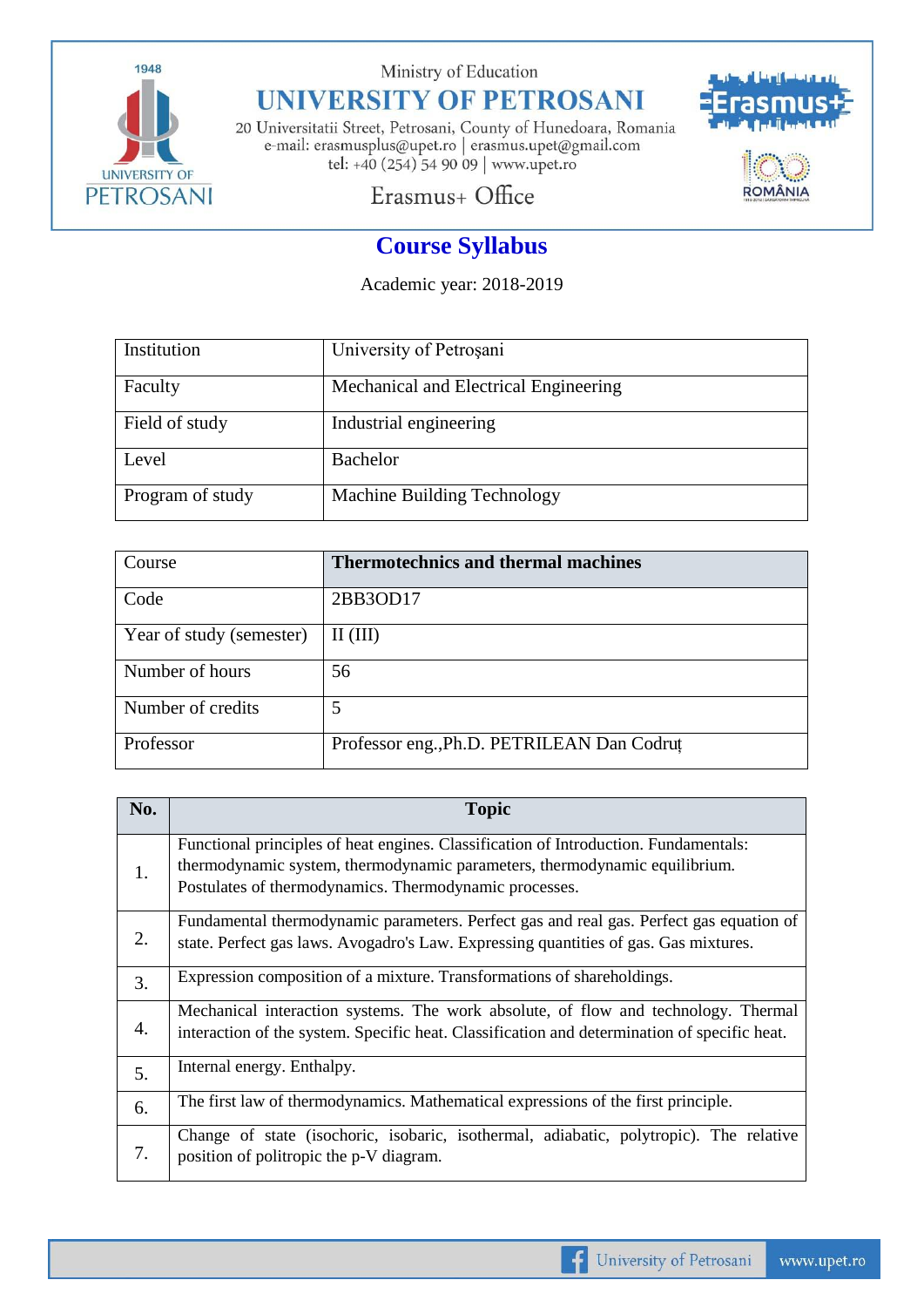

Ministry of Education

## **UNIVERSITY OF PETROSANI**

20 Universitatii Street, Petrosani, County of Hunedoara, Romania e-mail: erasmusplus@upet.ro $\vert$ erasmus.upet@gmail.com tel: +40 (254) 54 90 09 | www.upet.ro



Erasmus+ Office

## **Course Syllabus**

Academic year: 2018-2019

| Institution      | University of Petrosani               |
|------------------|---------------------------------------|
| Faculty          | Mechanical and Electrical Engineering |
| Field of study   | Industrial engineering                |
| Level            | <b>Bachelor</b>                       |
| Program of study | Machine Building Technology           |

| Course                   | <b>Thermotechnics and thermal machines</b> |
|--------------------------|--------------------------------------------|
| Code                     | 2BB3OD17                                   |
| Year of study (semester) | $II$ (III)                                 |
| Number of hours          | 56                                         |
| Number of credits        | 5                                          |
| Professor                | Professor eng., Ph.D. PETRILEAN Dan Codrut |

| No.              | <b>Topic</b>                                                                                                                                                       |
|------------------|--------------------------------------------------------------------------------------------------------------------------------------------------------------------|
| 1.               | Functional principles of heat engines. Classification of Introduction. Fundamentals:<br>thermodynamic system, thermodynamic parameters, thermodynamic equilibrium. |
|                  | Postulates of thermodynamics. Thermodynamic processes.                                                                                                             |
| 2.               | Fundamental thermodynamic parameters. Perfect gas and real gas. Perfect gas equation of                                                                            |
|                  | state. Perfect gas laws. Avogadro's Law. Expressing quantities of gas. Gas mixtures.                                                                               |
| 3.               | Expression composition of a mixture. Transformations of shareholdings.                                                                                             |
| $\overline{4}$ . | Mechanical interaction systems. The work absolute, of flow and technology. Thermal                                                                                 |
|                  | interaction of the system. Specific heat. Classification and determination of specific heat.                                                                       |
| 5.               | Internal energy. Enthalpy.                                                                                                                                         |
| 6.               | The first law of thermodynamics. Mathematical expressions of the first principle.                                                                                  |
| 7.               | Change of state (isochoric, isobaric, isothermal, adiabatic, polytropic). The relative                                                                             |
|                  | position of politropic the p-V diagram.                                                                                                                            |